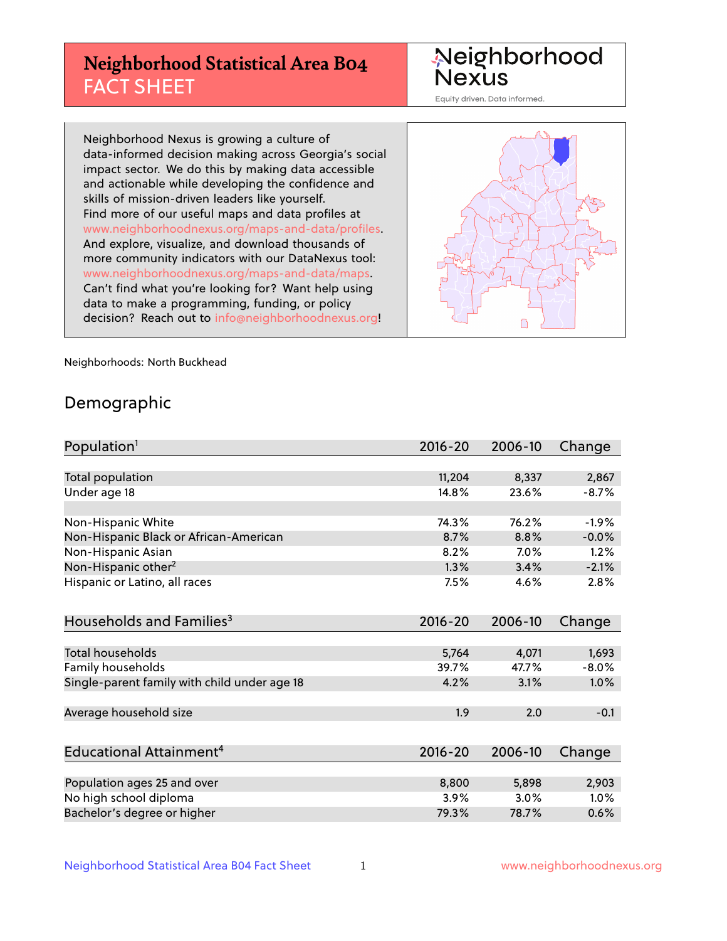# **Neighborhood Statistical Area B04** FACT SHEET

Neighborhood Nexus

Equity driven. Data informed.

Neighborhood Nexus is growing a culture of data-informed decision making across Georgia's social impact sector. We do this by making data accessible and actionable while developing the confidence and skills of mission-driven leaders like yourself. Find more of our useful maps and data profiles at www.neighborhoodnexus.org/maps-and-data/profiles. And explore, visualize, and download thousands of more community indicators with our DataNexus tool: www.neighborhoodnexus.org/maps-and-data/maps. Can't find what you're looking for? Want help using data to make a programming, funding, or policy decision? Reach out to [info@neighborhoodnexus.org!](mailto:info@neighborhoodnexus.org)



Neighborhoods: North Buckhead

### Demographic

| Population <sup>1</sup>                      | $2016 - 20$ | 2006-10 | Change  |
|----------------------------------------------|-------------|---------|---------|
|                                              |             |         |         |
| Total population                             | 11,204      | 8,337   | 2,867   |
| Under age 18                                 | 14.8%       | 23.6%   | $-8.7%$ |
|                                              |             |         |         |
| Non-Hispanic White                           | 74.3%       | 76.2%   | $-1.9%$ |
| Non-Hispanic Black or African-American       | 8.7%        | 8.8%    | $-0.0%$ |
| Non-Hispanic Asian                           | 8.2%        | 7.0%    | 1.2%    |
| Non-Hispanic other <sup>2</sup>              | 1.3%        | 3.4%    | $-2.1%$ |
| Hispanic or Latino, all races                | 7.5%        | 4.6%    | 2.8%    |
|                                              |             |         |         |
| Households and Families <sup>3</sup>         | 2016-20     | 2006-10 | Change  |
|                                              |             |         |         |
| Total households                             | 5,764       | 4,071   | 1,693   |
| Family households                            | 39.7%       | 47.7%   | $-8.0%$ |
| Single-parent family with child under age 18 | 4.2%        | 3.1%    | 1.0%    |
|                                              |             |         |         |
| Average household size                       | 1.9         | 2.0     | $-0.1$  |
|                                              |             |         |         |
| Educational Attainment <sup>4</sup>          | 2016-20     | 2006-10 | Change  |
|                                              |             |         |         |
| Population ages 25 and over                  | 8,800       | 5,898   | 2,903   |
| No high school diploma                       | 3.9%        | 3.0%    | 1.0%    |
| Bachelor's degree or higher                  | 79.3%       | 78.7%   | 0.6%    |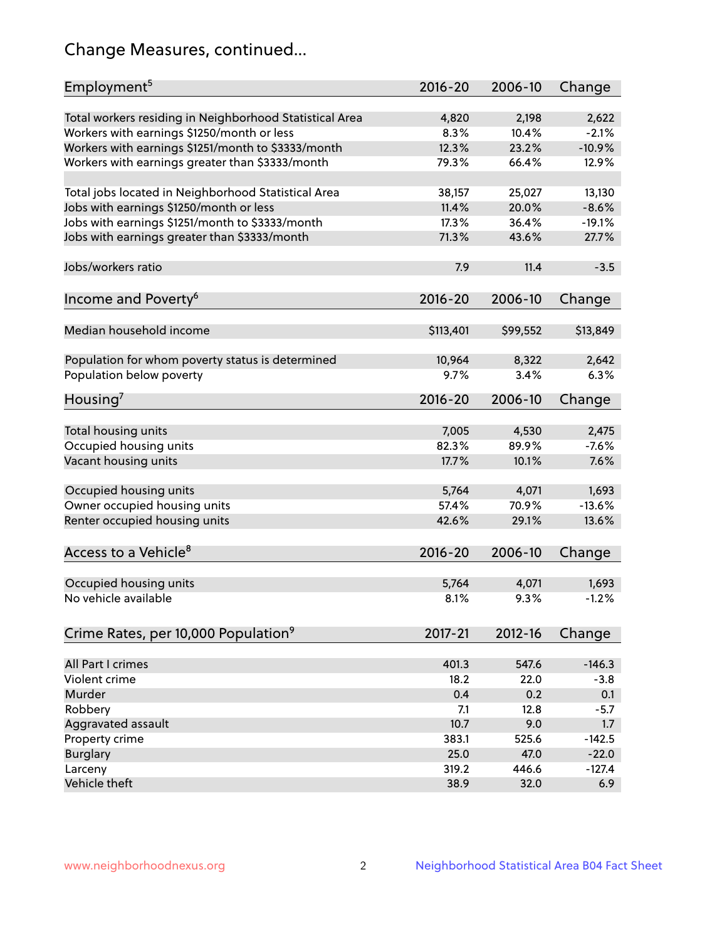# Change Measures, continued...

| Employment <sup>5</sup>                                                                               | $2016 - 20$   | 2006-10        | Change           |
|-------------------------------------------------------------------------------------------------------|---------------|----------------|------------------|
|                                                                                                       |               |                |                  |
| Total workers residing in Neighborhood Statistical Area                                               | 4,820<br>8.3% | 2,198<br>10.4% | 2,622<br>$-2.1%$ |
| Workers with earnings \$1250/month or less                                                            | 12.3%         | 23.2%          | $-10.9%$         |
| Workers with earnings \$1251/month to \$3333/month<br>Workers with earnings greater than \$3333/month | 79.3%         | 66.4%          | 12.9%            |
|                                                                                                       |               |                |                  |
| Total jobs located in Neighborhood Statistical Area                                                   | 38,157        | 25,027         | 13,130           |
| Jobs with earnings \$1250/month or less                                                               | 11.4%         | 20.0%          | $-8.6%$          |
| Jobs with earnings \$1251/month to \$3333/month                                                       | 17.3%         | 36.4%          | $-19.1%$         |
| Jobs with earnings greater than \$3333/month                                                          | 71.3%         | 43.6%          | 27.7%            |
|                                                                                                       |               |                |                  |
| Jobs/workers ratio                                                                                    | 7.9           | 11.4           | $-3.5$           |
|                                                                                                       |               |                |                  |
| Income and Poverty <sup>6</sup>                                                                       | 2016-20       | 2006-10        | Change           |
|                                                                                                       |               |                |                  |
| Median household income                                                                               | \$113,401     | \$99,552       | \$13,849         |
|                                                                                                       |               |                |                  |
| Population for whom poverty status is determined                                                      | 10,964        | 8,322          | 2,642            |
| Population below poverty                                                                              | 9.7%          | 3.4%           | 6.3%             |
| Housing <sup>7</sup>                                                                                  | $2016 - 20$   | 2006-10        | Change           |
|                                                                                                       |               |                |                  |
| Total housing units                                                                                   | 7,005         | 4,530          | 2,475            |
| Occupied housing units                                                                                | 82.3%         | 89.9%          | $-7.6%$          |
| Vacant housing units                                                                                  | 17.7%         | 10.1%          | 7.6%             |
|                                                                                                       |               |                |                  |
| Occupied housing units                                                                                | 5,764         | 4,071          | 1,693            |
| Owner occupied housing units                                                                          | 57.4%         | 70.9%          | $-13.6%$         |
| Renter occupied housing units                                                                         | 42.6%         | 29.1%          | 13.6%            |
|                                                                                                       |               |                |                  |
| Access to a Vehicle <sup>8</sup>                                                                      | $2016 - 20$   | 2006-10        | Change           |
|                                                                                                       |               |                |                  |
| Occupied housing units                                                                                | 5,764         | 4,071          | 1,693            |
| No vehicle available                                                                                  | 8.1%          | 9.3%           | $-1.2%$          |
|                                                                                                       |               |                |                  |
|                                                                                                       | 2017-21       | 2012-16        |                  |
| Crime Rates, per 10,000 Population <sup>9</sup>                                                       |               |                | Change           |
| All Part I crimes                                                                                     | 401.3         | 547.6          | $-146.3$         |
| Violent crime                                                                                         | 18.2          | 22.0           | $-3.8$           |
| Murder                                                                                                | 0.4           | 0.2            | 0.1              |
| Robbery                                                                                               | 7.1           | 12.8           | $-5.7$           |
|                                                                                                       | 10.7          | 9.0            |                  |
| Aggravated assault                                                                                    | 383.1         | 525.6          | 1.7<br>$-142.5$  |
| Property crime                                                                                        | 25.0          | 47.0           | $-22.0$          |
| <b>Burglary</b>                                                                                       | 319.2         | 446.6          | $-127.4$         |
| Larceny<br>Vehicle theft                                                                              | 38.9          | 32.0           | 6.9              |
|                                                                                                       |               |                |                  |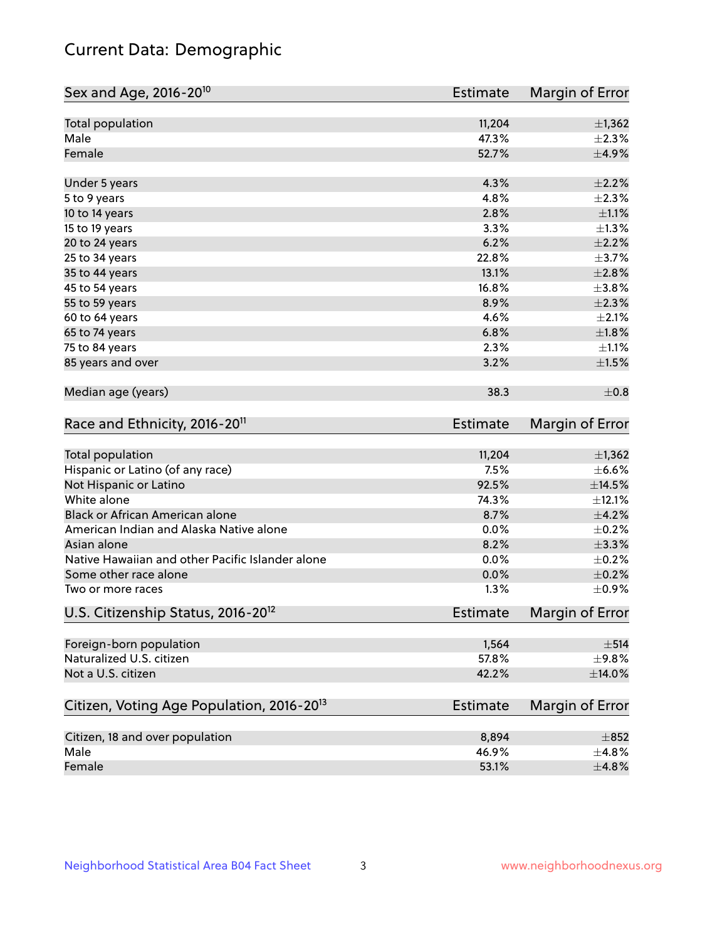# Current Data: Demographic

| Sex and Age, 2016-20 <sup>10</sup>                    | <b>Estimate</b> | Margin of Error        |
|-------------------------------------------------------|-----------------|------------------------|
| Total population                                      | 11,204          | ±1,362                 |
| Male                                                  | 47.3%           | $\pm 2.3\%$            |
| Female                                                | 52.7%           | $\pm$ 4.9%             |
| Under 5 years                                         | 4.3%            | $\pm 2.2\%$            |
| 5 to 9 years                                          | 4.8%            | $\pm 2.3\%$            |
| 10 to 14 years                                        | 2.8%            | $\pm 1.1\%$            |
| 15 to 19 years                                        | 3.3%            | $\pm 1.3\%$            |
| 20 to 24 years                                        | 6.2%            | $\pm 2.2\%$            |
| 25 to 34 years                                        | 22.8%           | $\pm$ 3.7%             |
| 35 to 44 years                                        | 13.1%           | $\pm 2.8\%$            |
| 45 to 54 years                                        | 16.8%           | $\pm$ 3.8%             |
| 55 to 59 years                                        | 8.9%            | $\pm 2.3\%$            |
| 60 to 64 years                                        | 4.6%            | $\pm 2.1\%$            |
| 65 to 74 years                                        | 6.8%            | $\pm1.8\%$             |
| 75 to 84 years                                        | 2.3%            | $\pm 1.1\%$            |
| 85 years and over                                     | 3.2%            | $\pm 1.5\%$            |
| Median age (years)                                    | 38.3            | $\pm$ 0.8              |
| Race and Ethnicity, 2016-20 <sup>11</sup>             | <b>Estimate</b> | Margin of Error        |
| Total population                                      | 11,204          | $\pm$ 1,362            |
| Hispanic or Latino (of any race)                      | 7.5%            | $\pm$ 6.6%             |
| Not Hispanic or Latino                                | 92.5%           | ±14.5%                 |
| White alone                                           | 74.3%           | ±12.1%                 |
| Black or African American alone                       | 8.7%            | $\pm 4.2\%$            |
| American Indian and Alaska Native alone               | 0.0%            | $\pm$ 0.2%             |
| Asian alone                                           | 8.2%            | $\pm$ 3.3%             |
| Native Hawaiian and other Pacific Islander alone      | 0.0%            | $\pm$ 0.2%             |
| Some other race alone                                 | 0.0%            | $\pm$ 0.2%             |
| Two or more races                                     | 1.3%            | $\pm$ 0.9%             |
| U.S. Citizenship Status, 2016-20 <sup>12</sup>        | <b>Estimate</b> | <b>Margin of Error</b> |
| Foreign-born population                               | 1,564           | $\pm$ 514              |
| Naturalized U.S. citizen                              | 57.8%           | ±9.8%                  |
| Not a U.S. citizen                                    | 42.2%           | $\pm$ 14.0%            |
|                                                       |                 |                        |
| Citizen, Voting Age Population, 2016-20 <sup>13</sup> | <b>Estimate</b> | Margin of Error        |
| Citizen, 18 and over population                       | 8,894           | $\pm$ 852              |
| Male                                                  | 46.9%           | ±4.8%                  |
| Female                                                | 53.1%           | $\pm 4.8\%$            |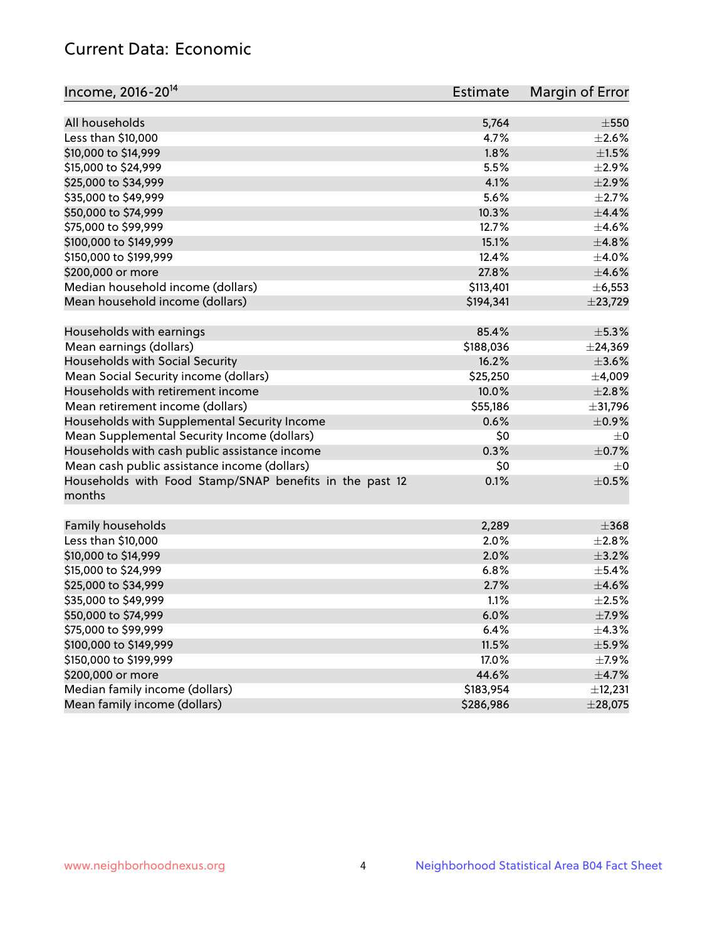# Current Data: Economic

| Income, 2016-20 <sup>14</sup>                                     | <b>Estimate</b> | Margin of Error |
|-------------------------------------------------------------------|-----------------|-----------------|
| All households                                                    | 5,764           | $\pm$ 550       |
| Less than \$10,000                                                | 4.7%            | $\pm 2.6\%$     |
|                                                                   | 1.8%            | $\pm 1.5\%$     |
| \$10,000 to \$14,999<br>\$15,000 to \$24,999                      |                 |                 |
|                                                                   | 5.5%            | $\pm 2.9\%$     |
| \$25,000 to \$34,999                                              | 4.1%            | $\pm 2.9\%$     |
| \$35,000 to \$49,999                                              | 5.6%            | $\pm 2.7\%$     |
| \$50,000 to \$74,999                                              | 10.3%           | $\pm$ 4.4%      |
| \$75,000 to \$99,999                                              | 12.7%           | $\pm 4.6\%$     |
| \$100,000 to \$149,999                                            | 15.1%           | ±4.8%           |
| \$150,000 to \$199,999                                            | 12.4%           | $\pm$ 4.0%      |
| \$200,000 or more                                                 | 27.8%           | $\pm$ 4.6%      |
| Median household income (dollars)                                 | \$113,401       | $\pm$ 6,553     |
| Mean household income (dollars)                                   | \$194,341       | ±23,729         |
| Households with earnings                                          | 85.4%           | $\pm$ 5.3%      |
| Mean earnings (dollars)                                           | \$188,036       | $±$ 24,369      |
| Households with Social Security                                   | 16.2%           | $\pm 3.6\%$     |
| Mean Social Security income (dollars)                             | \$25,250        | ±4,009          |
| Households with retirement income                                 | 10.0%           | $\pm 2.8\%$     |
| Mean retirement income (dollars)                                  | \$55,186        | ±31,796         |
| Households with Supplemental Security Income                      | 0.6%            | $\pm$ 0.9%      |
| Mean Supplemental Security Income (dollars)                       | \$0             | $\pm 0$         |
| Households with cash public assistance income                     | 0.3%            | $\pm$ 0.7%      |
| Mean cash public assistance income (dollars)                      | \$0             | $\pm 0$         |
| Households with Food Stamp/SNAP benefits in the past 12<br>months | 0.1%            | $\pm$ 0.5%      |
| Family households                                                 | 2,289           | $\pm 368$       |
| Less than \$10,000                                                | 2.0%            | $\pm 2.8\%$     |
| \$10,000 to \$14,999                                              | 2.0%            | $\pm$ 3.2%      |
| \$15,000 to \$24,999                                              | 6.8%            | $\pm$ 5.4%      |
| \$25,000 to \$34,999                                              | 2.7%            | $\pm$ 4.6%      |
| \$35,000 to \$49,999                                              | 1.1%            | $\pm 2.5\%$     |
| \$50,000 to \$74,999                                              | 6.0%            | $\pm$ 7.9%      |
| \$75,000 to \$99,999                                              | 6.4%            | $\pm$ 4.3%      |
| \$100,000 to \$149,999                                            | 11.5%           | $\pm$ 5.9%      |
| \$150,000 to \$199,999                                            | 17.0%           | $\pm$ 7.9%      |
| \$200,000 or more                                                 | 44.6%           | $\pm$ 4.7%      |
| Median family income (dollars)                                    | \$183,954       | ±12,231         |
| Mean family income (dollars)                                      | \$286,986       | ±28,075         |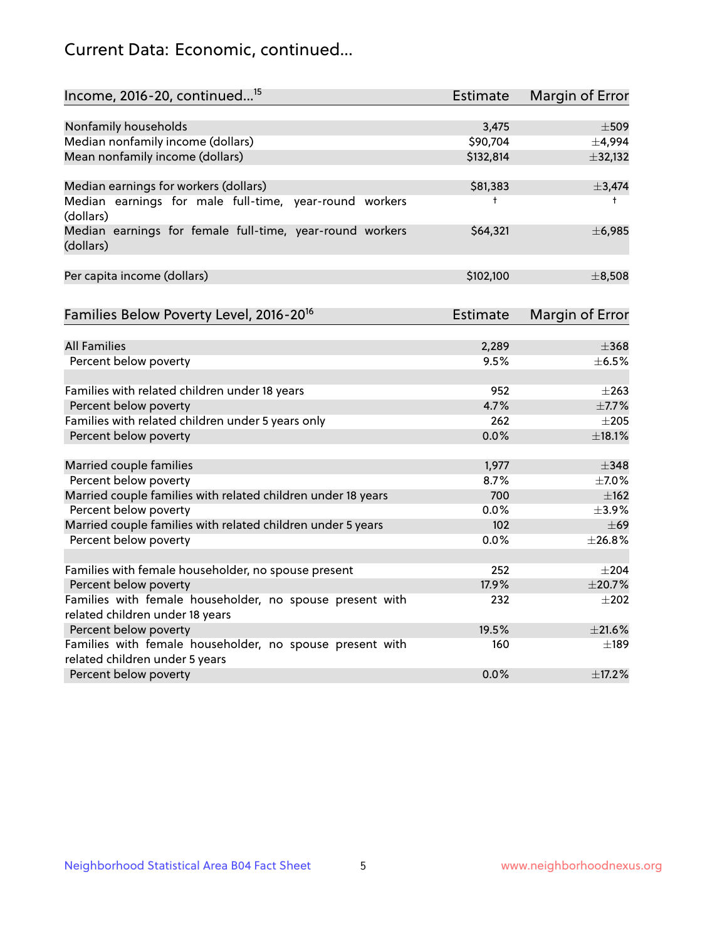# Current Data: Economic, continued...

| Income, 2016-20, continued <sup>15</sup>                                                   | <b>Estimate</b> | <b>Margin of Error</b> |
|--------------------------------------------------------------------------------------------|-----------------|------------------------|
|                                                                                            |                 |                        |
| Nonfamily households                                                                       | 3,475           | $\pm$ 509              |
| Median nonfamily income (dollars)                                                          | \$90,704        | ±4,994                 |
| Mean nonfamily income (dollars)                                                            | \$132,814       | ±32,132                |
| Median earnings for workers (dollars)                                                      | \$81,383        | ±3,474                 |
| Median earnings for male full-time, year-round workers<br>(dollars)                        | $^{\dagger}$    | $^+$                   |
| Median earnings for female full-time, year-round workers<br>(dollars)                      | \$64,321        | ±6,985                 |
| Per capita income (dollars)                                                                | \$102,100       | ±8,508                 |
| Families Below Poverty Level, 2016-20 <sup>16</sup>                                        | <b>Estimate</b> | <b>Margin of Error</b> |
|                                                                                            |                 |                        |
| <b>All Families</b>                                                                        | 2,289           | $\pm$ 368              |
| Percent below poverty                                                                      | 9.5%            | $\pm$ 6.5%             |
| Families with related children under 18 years                                              | 952             | $\pm 263$              |
| Percent below poverty                                                                      | 4.7%            | ±7.7%                  |
| Families with related children under 5 years only                                          | 262             | $\pm 205$              |
| Percent below poverty                                                                      | 0.0%            | ±18.1%                 |
| Married couple families                                                                    | 1,977           | $\pm$ 348              |
| Percent below poverty                                                                      | 8.7%            | $\pm$ 7.0%             |
| Married couple families with related children under 18 years                               | 700             | ±162                   |
| Percent below poverty                                                                      | $0.0\%$         | $\pm$ 3.9%             |
| Married couple families with related children under 5 years                                | 102             | $\pm 69$               |
| Percent below poverty                                                                      | $0.0\%$         | ±26.8%                 |
|                                                                                            |                 |                        |
| Families with female householder, no spouse present                                        | 252             | $\pm 204$              |
| Percent below poverty                                                                      | 17.9%           | ±20.7%                 |
| Families with female householder, no spouse present with                                   | 232             | $\pm 202$              |
| related children under 18 years                                                            | 19.5%           | $\pm 21.6\%$           |
| Percent below poverty                                                                      |                 |                        |
| Families with female householder, no spouse present with<br>related children under 5 years | 160             | $\pm$ 189              |
| Percent below poverty                                                                      | 0.0%            | ±17.2%                 |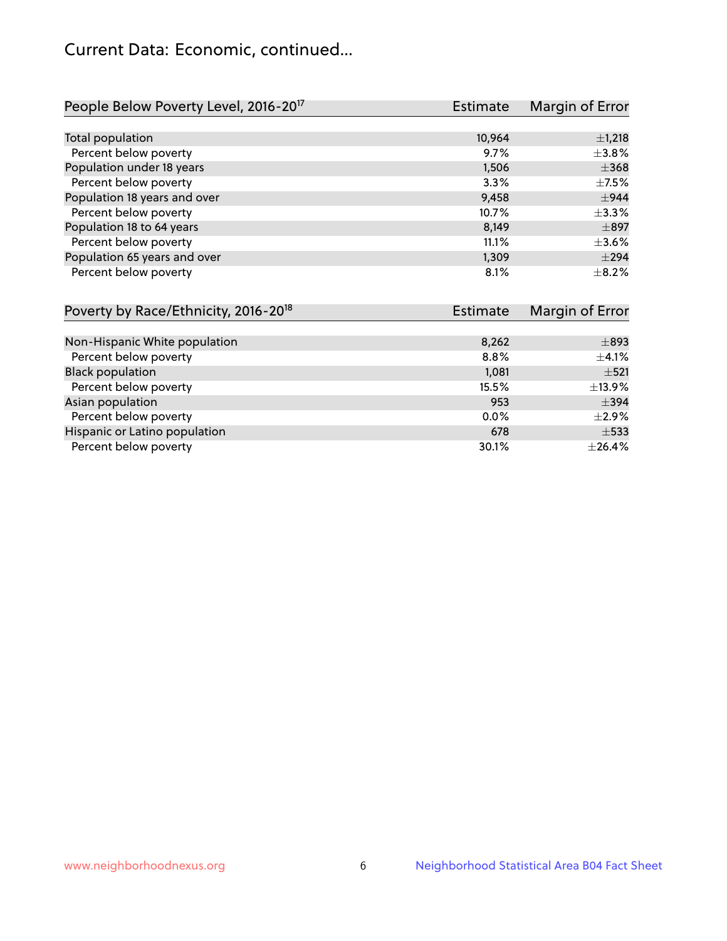# Current Data: Economic, continued...

| People Below Poverty Level, 2016-20 <sup>17</sup> | <b>Estimate</b> | Margin of Error |
|---------------------------------------------------|-----------------|-----------------|
|                                                   |                 |                 |
| Total population                                  | 10.964          | $\pm$ 1,218     |
| Percent below poverty                             | 9.7%            | $\pm$ 3.8%      |
| Population under 18 years                         | 1,506           | $\pm$ 368       |
| Percent below poverty                             | 3.3%            | $\pm$ 7.5%      |
| Population 18 years and over                      | 9,458           | $\pm$ 944       |
| Percent below poverty                             | 10.7%           | $\pm$ 3.3%      |
| Population 18 to 64 years                         | 8,149           | $\pm$ 897       |
| Percent below poverty                             | 11.1%           | $\pm$ 3.6%      |
| Population 65 years and over                      | 1,309           | $\pm$ 294       |
| Percent below poverty                             | 8.1%            | $\pm$ 8.2%      |

| Poverty by Race/Ethnicity, 2016-20 <sup>18</sup> | <b>Estimate</b> | Margin of Error |
|--------------------------------------------------|-----------------|-----------------|
|                                                  |                 |                 |
| Non-Hispanic White population                    | 8,262           | $\pm$ 893       |
| Percent below poverty                            | 8.8%            | $\pm$ 4.1%      |
| <b>Black population</b>                          | 1,081           | $\pm$ 521       |
| Percent below poverty                            | 15.5%           | ±13.9%          |
| Asian population                                 | 953             | $\pm$ 394       |
| Percent below poverty                            | $0.0\%$         | $\pm 2.9\%$     |
| Hispanic or Latino population                    | 678             | $\pm$ 533       |
| Percent below poverty                            | 30.1%           | ±26.4%          |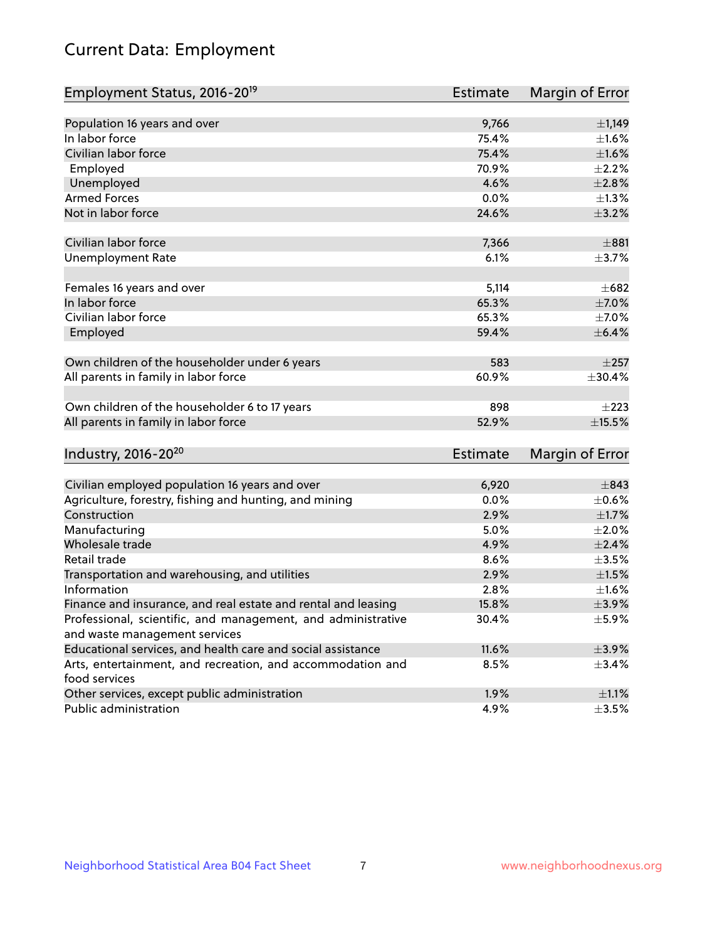# Current Data: Employment

| Employment Status, 2016-20 <sup>19</sup>                                                      | Estimate        | Margin of Error |
|-----------------------------------------------------------------------------------------------|-----------------|-----------------|
|                                                                                               |                 |                 |
| Population 16 years and over                                                                  | 9,766           | $\pm$ 1,149     |
| In labor force                                                                                | 75.4%           | $\pm 1.6\%$     |
| Civilian labor force                                                                          | 75.4%           | $\pm1.6\%$      |
| Employed                                                                                      | 70.9%           | $\pm 2.2\%$     |
| Unemployed                                                                                    | 4.6%            | $\pm 2.8\%$     |
| <b>Armed Forces</b>                                                                           | 0.0%            | $\pm$ 1.3%      |
| Not in labor force                                                                            | 24.6%           | $\pm$ 3.2%      |
| Civilian labor force                                                                          | 7,366           | $\pm 881$       |
| <b>Unemployment Rate</b>                                                                      | 6.1%            | $\pm$ 3.7%      |
|                                                                                               |                 |                 |
| Females 16 years and over                                                                     | 5,114           | $\pm 682$       |
| In labor force                                                                                | 65.3%           | $\pm$ 7.0%      |
| Civilian labor force                                                                          | 65.3%           | $\pm$ 7.0%      |
| Employed                                                                                      | 59.4%           | $\pm$ 6.4%      |
|                                                                                               |                 |                 |
| Own children of the householder under 6 years                                                 | 583             | $\pm 257$       |
| All parents in family in labor force                                                          | 60.9%           | ±30.4%          |
| Own children of the householder 6 to 17 years                                                 | 898             | $\pm 223$       |
| All parents in family in labor force                                                          | 52.9%           | $\pm$ 15.5%     |
|                                                                                               |                 |                 |
| Industry, 2016-20 <sup>20</sup>                                                               | <b>Estimate</b> | Margin of Error |
| Civilian employed population 16 years and over                                                | 6,920           | $\pm$ 843       |
| Agriculture, forestry, fishing and hunting, and mining                                        | 0.0%            | $\pm$ 0.6%      |
| Construction                                                                                  | 2.9%            | $\pm1.7\%$      |
| Manufacturing                                                                                 | 5.0%            | $\pm 2.0\%$     |
| Wholesale trade                                                                               | 4.9%            | $\pm 2.4\%$     |
| Retail trade                                                                                  | 8.6%            | $\pm 3.5\%$     |
| Transportation and warehousing, and utilities                                                 | 2.9%            | $\pm 1.5\%$     |
| Information                                                                                   | 2.8%            | $\pm1.6\%$      |
|                                                                                               | 15.8%           | $\pm$ 3.9%      |
| Finance and insurance, and real estate and rental and leasing                                 | 30.4%           | $\pm$ 5.9%      |
| Professional, scientific, and management, and administrative<br>and waste management services |                 |                 |
| Educational services, and health care and social assistance                                   | 11.6%           | $\pm$ 3.9%      |
| Arts, entertainment, and recreation, and accommodation and                                    | 8.5%            | $\pm$ 3.4%      |
| food services                                                                                 |                 |                 |
| Other services, except public administration                                                  | 1.9%            | $\pm 1.1\%$     |
| Public administration                                                                         | 4.9%            | $\pm$ 3.5%      |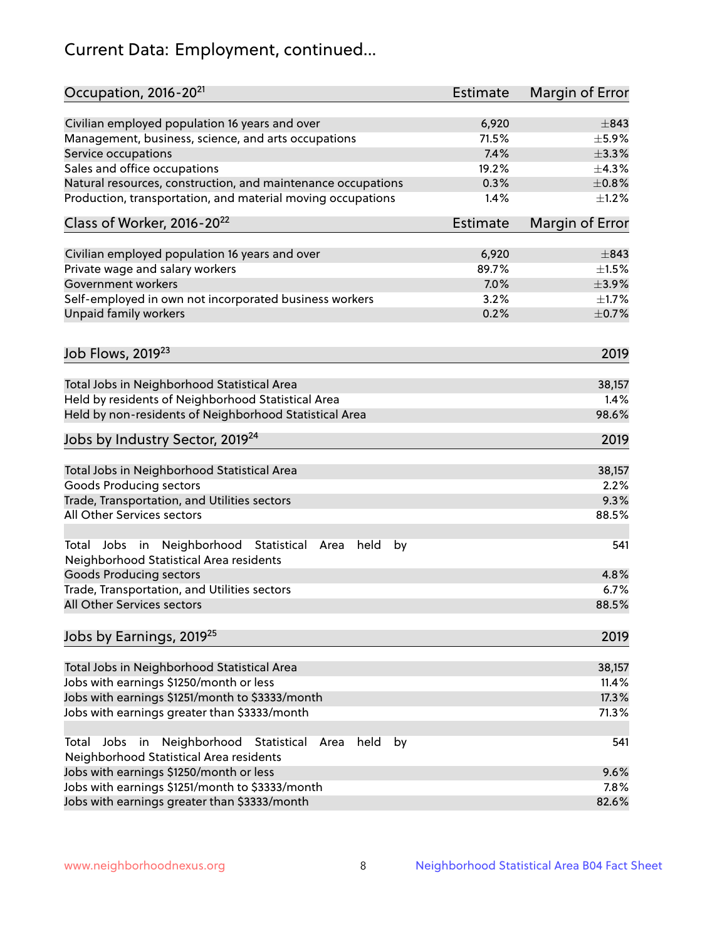# Current Data: Employment, continued...

| Occupation, 2016-20 <sup>21</sup>                                                                                | <b>Estimate</b> | Margin of Error |
|------------------------------------------------------------------------------------------------------------------|-----------------|-----------------|
| Civilian employed population 16 years and over                                                                   | 6,920           | $\pm$ 843       |
| Management, business, science, and arts occupations                                                              | 71.5%           | $\pm$ 5.9%      |
| Service occupations                                                                                              | 7.4%            | $\pm$ 3.3%      |
| Sales and office occupations                                                                                     | 19.2%           | ±4.3%           |
| Natural resources, construction, and maintenance occupations                                                     | 0.3%            | $\pm 0.8\%$     |
| Production, transportation, and material moving occupations                                                      | 1.4%            | $\pm 1.2\%$     |
| Class of Worker, 2016-20 <sup>22</sup>                                                                           | <b>Estimate</b> | Margin of Error |
| Civilian employed population 16 years and over                                                                   | 6,920           | $\pm$ 843       |
| Private wage and salary workers                                                                                  | 89.7%           | $\pm 1.5\%$     |
| Government workers                                                                                               | 7.0%            | $\pm$ 3.9%      |
| Self-employed in own not incorporated business workers                                                           | 3.2%            | $\pm 1.7\%$     |
| Unpaid family workers                                                                                            | 0.2%            | $\pm$ 0.7%      |
|                                                                                                                  |                 | 2019            |
| Job Flows, 2019 <sup>23</sup>                                                                                    |                 |                 |
| Total Jobs in Neighborhood Statistical Area                                                                      |                 | 38,157          |
| Held by residents of Neighborhood Statistical Area                                                               |                 | 1.4%            |
| Held by non-residents of Neighborhood Statistical Area                                                           |                 | 98.6%           |
| Jobs by Industry Sector, 2019 <sup>24</sup>                                                                      |                 | 2019            |
| Total Jobs in Neighborhood Statistical Area                                                                      |                 | 38,157          |
| <b>Goods Producing sectors</b>                                                                                   |                 | 2.2%            |
| Trade, Transportation, and Utilities sectors                                                                     |                 | 9.3%            |
| All Other Services sectors                                                                                       |                 | 88.5%           |
| Total Jobs in Neighborhood Statistical<br>held<br>Area<br>by<br>Neighborhood Statistical Area residents          |                 | 541             |
| <b>Goods Producing sectors</b>                                                                                   |                 | 4.8%            |
| Trade, Transportation, and Utilities sectors                                                                     |                 | 6.7%            |
| All Other Services sectors                                                                                       |                 | 88.5%           |
| Jobs by Earnings, 2019 <sup>25</sup>                                                                             |                 | 2019            |
| Total Jobs in Neighborhood Statistical Area                                                                      |                 | 38,157          |
| Jobs with earnings \$1250/month or less                                                                          |                 | 11.4%           |
| Jobs with earnings \$1251/month to \$3333/month                                                                  |                 | 17.3%           |
| Jobs with earnings greater than \$3333/month                                                                     |                 | 71.3%           |
| Neighborhood Statistical<br>Jobs<br>in<br>Area<br>held<br>by<br>Total<br>Neighborhood Statistical Area residents |                 | 541             |
| Jobs with earnings \$1250/month or less                                                                          |                 | 9.6%            |
| Jobs with earnings \$1251/month to \$3333/month                                                                  |                 | 7.8%            |
| Jobs with earnings greater than \$3333/month                                                                     |                 | 82.6%           |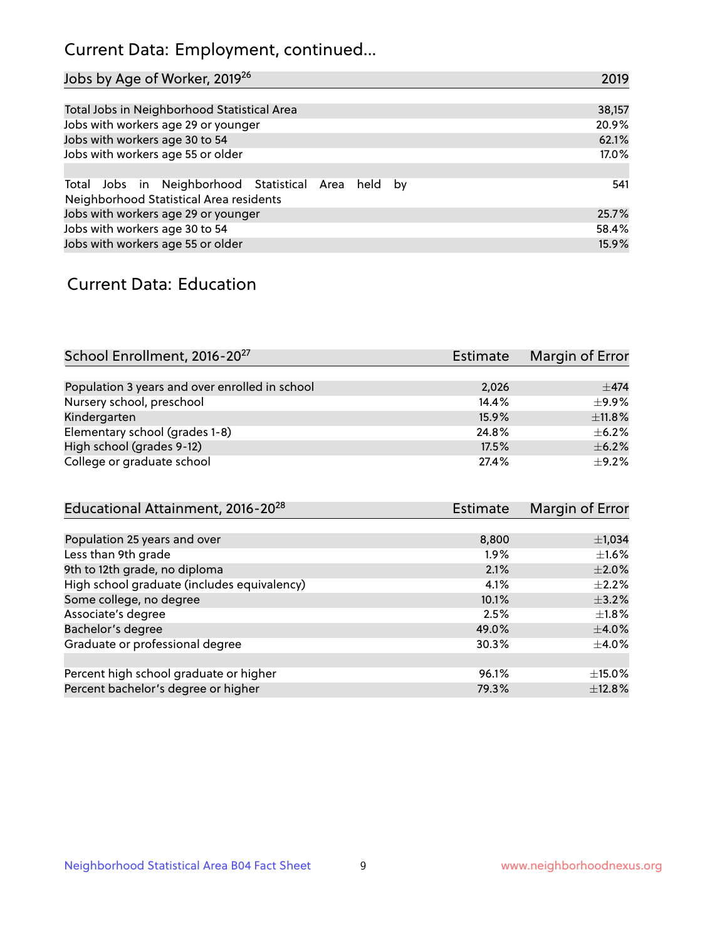# Current Data: Employment, continued...

| Jobs by Age of Worker, 2019 <sup>26</sup>                                                      | 2019   |
|------------------------------------------------------------------------------------------------|--------|
|                                                                                                |        |
| Total Jobs in Neighborhood Statistical Area                                                    | 38,157 |
| Jobs with workers age 29 or younger                                                            | 20.9%  |
| Jobs with workers age 30 to 54                                                                 | 62.1%  |
| Jobs with workers age 55 or older                                                              | 17.0%  |
|                                                                                                |        |
| Total Jobs in Neighborhood Statistical Area held by<br>Neighborhood Statistical Area residents | 541    |
| Jobs with workers age 29 or younger                                                            | 25.7%  |
| Jobs with workers age 30 to 54                                                                 | 58.4%  |
| Jobs with workers age 55 or older                                                              | 15.9%  |

### Current Data: Education

| School Enrollment, 2016-20 <sup>27</sup>       | Estimate | Margin of Error |
|------------------------------------------------|----------|-----------------|
|                                                |          |                 |
| Population 3 years and over enrolled in school | 2,026    | $\pm$ 474       |
| Nursery school, preschool                      | 14.4%    | $+9.9%$         |
| Kindergarten                                   | 15.9%    | ±11.8%          |
| Elementary school (grades 1-8)                 | 24.8%    | $+6.2%$         |
| High school (grades 9-12)                      | 17.5%    | $\pm$ 6.2%      |
| College or graduate school                     | 27.4%    | $+9.2%$         |

| Educational Attainment, 2016-20 <sup>28</sup> | <b>Estimate</b> | Margin of Error |
|-----------------------------------------------|-----------------|-----------------|
|                                               |                 |                 |
| Population 25 years and over                  | 8,800           | $\pm$ 1,034     |
| Less than 9th grade                           | $1.9\%$         | $\pm 1.6\%$     |
| 9th to 12th grade, no diploma                 | 2.1%            | $\pm 2.0\%$     |
| High school graduate (includes equivalency)   | 4.1%            | $+2.2%$         |
| Some college, no degree                       | 10.1%           | $\pm$ 3.2%      |
| Associate's degree                            | 2.5%            | $\pm 1.8\%$     |
| Bachelor's degree                             | 49.0%           | $\pm$ 4.0%      |
| Graduate or professional degree               | 30.3%           | $\pm$ 4.0%      |
|                                               |                 |                 |
| Percent high school graduate or higher        | 96.1%           | $\pm$ 15.0%     |
| Percent bachelor's degree or higher           | 79.3%           | ±12.8%          |
|                                               |                 |                 |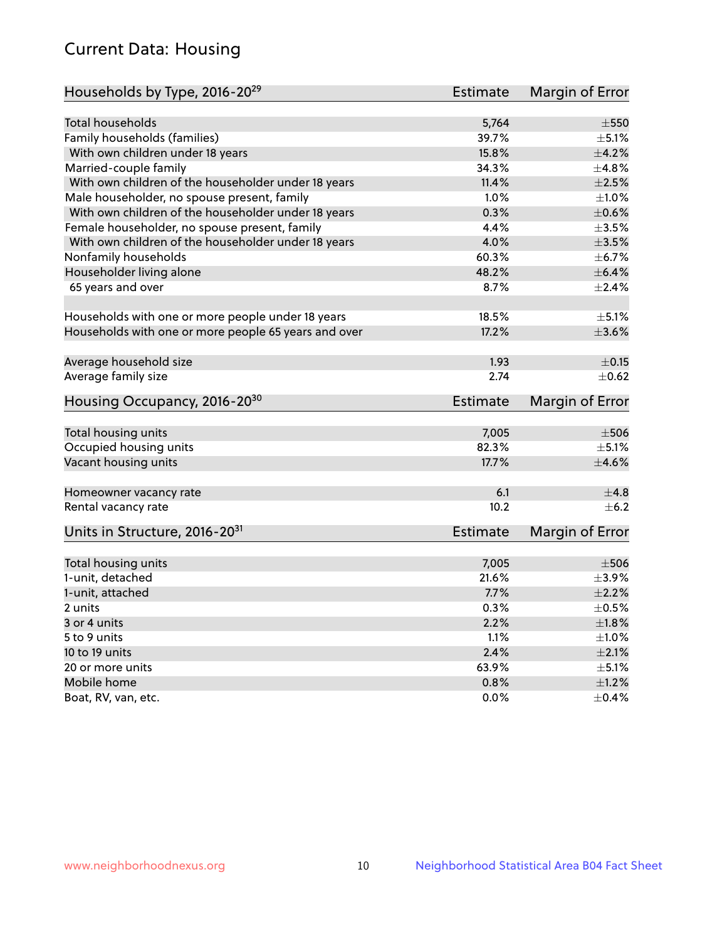# Current Data: Housing

| Households by Type, 2016-20 <sup>29</sup>            | Estimate        | Margin of Error           |
|------------------------------------------------------|-----------------|---------------------------|
|                                                      |                 |                           |
| Total households                                     | 5,764           | $\pm$ 550                 |
| Family households (families)                         | 39.7%           | $\pm$ 5.1%                |
| With own children under 18 years                     | 15.8%           | $\pm$ 4.2%                |
| Married-couple family                                | 34.3%           | ±4.8%                     |
| With own children of the householder under 18 years  | 11.4%           | $\pm 2.5\%$               |
| Male householder, no spouse present, family          | 1.0%            | $\pm 1.0\%$               |
| With own children of the householder under 18 years  | 0.3%            | $\pm$ 0.6%                |
| Female householder, no spouse present, family        | 4.4%            | $\pm 3.5\%$               |
| With own children of the householder under 18 years  | 4.0%            | $\pm 3.5\%$               |
| Nonfamily households                                 | 60.3%           | $\pm$ 6.7%                |
| Householder living alone                             | 48.2%           | $\pm$ 6.4%                |
| 65 years and over                                    | 8.7%            | $\pm$ 2.4%                |
|                                                      |                 |                           |
| Households with one or more people under 18 years    | 18.5%           | $\pm$ 5.1%                |
| Households with one or more people 65 years and over | 17.2%           | $\pm$ 3.6%                |
|                                                      |                 |                           |
| Average household size                               | 1.93            | $\pm$ 0.15                |
| Average family size                                  | 2.74            | $\pm$ 0.62                |
| Housing Occupancy, 2016-20 <sup>30</sup>             | Estimate        | Margin of Error           |
|                                                      |                 |                           |
| Total housing units                                  | 7,005<br>82.3%  | $\pm$ 506                 |
| Occupied housing units                               | 17.7%           | $\pm$ 5.1%<br>$\pm 4.6\%$ |
| Vacant housing units                                 |                 |                           |
| Homeowner vacancy rate                               | 6.1             | ±4.8                      |
| Rental vacancy rate                                  | 10.2            | $+6.2$                    |
| Units in Structure, 2016-20 <sup>31</sup>            | <b>Estimate</b> | Margin of Error           |
|                                                      |                 |                           |
| Total housing units                                  | 7,005           | $\pm 506$                 |
| 1-unit, detached                                     | 21.6%           | $\pm$ 3.9%                |
| 1-unit, attached                                     | 7.7%            | $\pm 2.2\%$               |
| 2 units                                              | 0.3%            | $\pm$ 0.5%                |
| 3 or 4 units                                         | 2.2%            | ±1.8%                     |
| 5 to 9 units                                         | 1.1%            | $\pm 1.0\%$               |
| 10 to 19 units                                       | 2.4%            | $\pm 2.1\%$               |
| 20 or more units                                     | 63.9%           | $\pm$ 5.1%                |
| Mobile home                                          | 0.8%            | $\pm 1.2\%$               |
| Boat, RV, van, etc.                                  | 0.0%            | $\pm$ 0.4%                |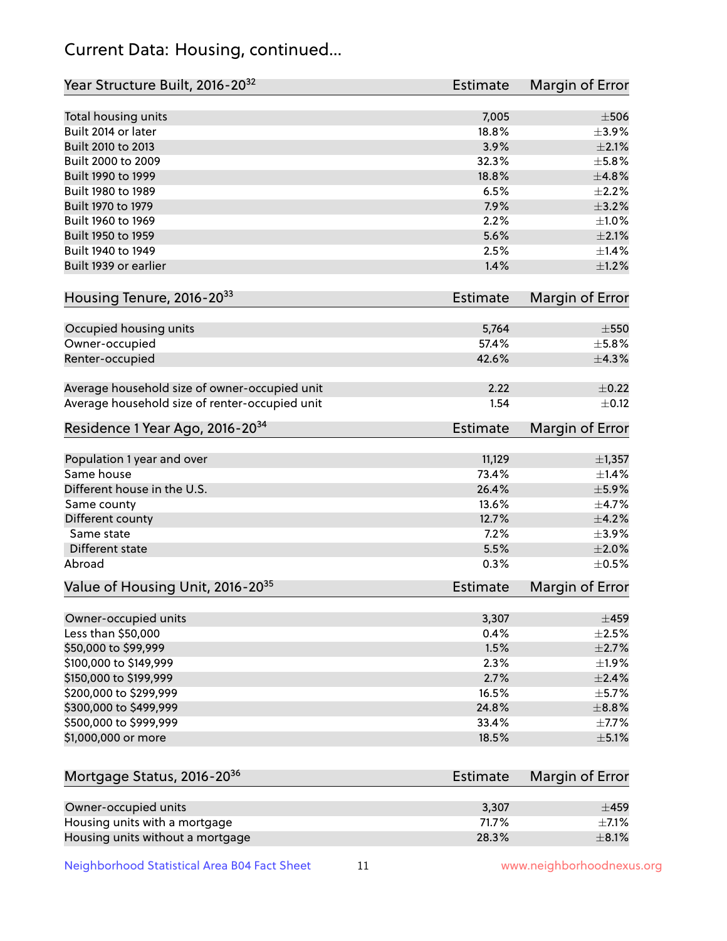# Current Data: Housing, continued...

| Year Structure Built, 2016-20 <sup>32</sup>    | <b>Estimate</b> | Margin of Error    |
|------------------------------------------------|-----------------|--------------------|
| Total housing units                            | 7,005           | $\pm$ 506          |
| Built 2014 or later                            | 18.8%           | $\pm$ 3.9%         |
| Built 2010 to 2013                             | 3.9%            | $\pm 2.1\%$        |
| Built 2000 to 2009                             | 32.3%           | $\pm$ 5.8%         |
| Built 1990 to 1999                             | 18.8%           | ±4.8%              |
| Built 1980 to 1989                             | 6.5%            | $\pm 2.2\%$        |
| Built 1970 to 1979                             | 7.9%            | $\pm$ 3.2%         |
| Built 1960 to 1969                             | 2.2%            | $\pm1.0\%$         |
| Built 1950 to 1959                             | 5.6%            | $\pm 2.1\%$        |
| Built 1940 to 1949                             | 2.5%            | ±1.4%              |
| Built 1939 or earlier                          | 1.4%            | $\pm 1.2\%$        |
| Housing Tenure, 2016-2033                      | <b>Estimate</b> | Margin of Error    |
|                                                |                 |                    |
| Occupied housing units                         | 5,764           | $\pm 550$<br>±5.8% |
| Owner-occupied                                 | 57.4%           |                    |
| Renter-occupied                                | 42.6%           | ±4.3%              |
| Average household size of owner-occupied unit  | 2.22            | $\pm$ 0.22         |
| Average household size of renter-occupied unit | 1.54            | $\pm$ 0.12         |
| Residence 1 Year Ago, 2016-20 <sup>34</sup>    | <b>Estimate</b> | Margin of Error    |
| Population 1 year and over                     | 11,129          | ±1,357             |
| Same house                                     | 73.4%           | ±1.4%              |
| Different house in the U.S.                    | 26.4%           | $\pm$ 5.9%         |
| Same county                                    | 13.6%           | $\pm$ 4.7%         |
| Different county                               | 12.7%           | $\pm$ 4.2%         |
| Same state                                     | 7.2%            | $\pm$ 3.9%         |
| Different state                                | 5.5%            | ±2.0%              |
| Abroad                                         | 0.3%            | $\pm$ 0.5%         |
| Value of Housing Unit, 2016-20 <sup>35</sup>   | <b>Estimate</b> | Margin of Error    |
| Owner-occupied units                           | 3,307           | $\pm 459$          |
| Less than \$50,000                             | 0.4%            | $\pm 2.5\%$        |
| \$50,000 to \$99,999                           | 1.5%            | ±2.7%              |
| \$100,000 to \$149,999                         | 2.3%            | ±1.9%              |
| \$150,000 to \$199,999                         | 2.7%            | $\pm 2.4\%$        |
| \$200,000 to \$299,999                         | 16.5%           | $\pm$ 5.7%         |
| \$300,000 to \$499,999                         | 24.8%           | ±8.8%              |
| \$500,000 to \$999,999                         | 33.4%           | $\pm$ 7.7%         |
| \$1,000,000 or more                            | 18.5%           | $\pm$ 5.1%         |
|                                                |                 |                    |
| Mortgage Status, 2016-20 <sup>36</sup>         | <b>Estimate</b> | Margin of Error    |
| Owner-occupied units                           | 3,307           | $\pm 459$          |
| Housing units with a mortgage                  | 71.7%           | $\pm$ 7.1%         |
| Housing units without a mortgage               | 28.3%           | $\pm$ 8.1%         |

Housing units without a mortgage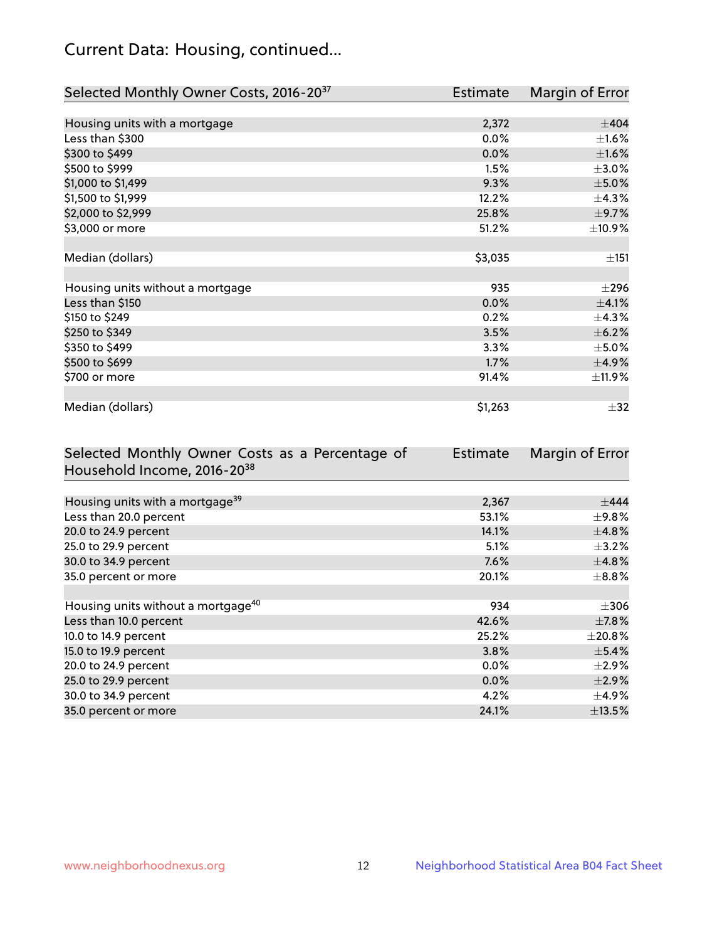# Current Data: Housing, continued...

| Selected Monthly Owner Costs, 2016-20 <sup>37</sup> | <b>Estimate</b> | Margin of Error |
|-----------------------------------------------------|-----------------|-----------------|
|                                                     |                 |                 |
| Housing units with a mortgage                       | 2,372           | $\pm$ 404       |
| Less than \$300                                     | 0.0%            | $\pm1.6\%$      |
| \$300 to \$499                                      | 0.0%            | $\pm1.6\%$      |
| \$500 to \$999                                      | 1.5%            | $\pm 3.0\%$     |
| \$1,000 to \$1,499                                  | 9.3%            | $\pm$ 5.0%      |
| \$1,500 to \$1,999                                  | 12.2%           | ±4.3%           |
| \$2,000 to \$2,999                                  | 25.8%           | $\pm$ 9.7%      |
| \$3,000 or more                                     | 51.2%           | ±10.9%          |
|                                                     |                 |                 |
| Median (dollars)                                    | \$3,035         | ±151            |
|                                                     |                 |                 |
| Housing units without a mortgage                    | 935             | $\pm 296$       |
| Less than \$150                                     | 0.0%            | $\pm$ 4.1%      |
| \$150 to \$249                                      | 0.2%            | $\pm$ 4.3%      |
| \$250 to \$349                                      | 3.5%            | $\pm$ 6.2%      |
| \$350 to \$499                                      | 3.3%            | $\pm$ 5.0%      |
| \$500 to \$699                                      | 1.7%            | $\pm$ 4.9%      |
| \$700 or more                                       | 91.4%           | $\pm$ 11.9%     |
|                                                     |                 |                 |
| Median (dollars)                                    | \$1,263         | $\pm$ 32        |

| Selected Monthly Owner Costs as a Percentage of | <b>Estimate</b> | Margin of Error |
|-------------------------------------------------|-----------------|-----------------|
| Household Income, 2016-20 <sup>38</sup>         |                 |                 |
|                                                 |                 |                 |
| Housing units with a mortgage <sup>39</sup>     | 2,367           | $\pm$ 444       |
| Less than 20.0 percent                          | 53.1%           | $\pm$ 9.8%      |
| 20.0 to 24.9 percent                            | 14.1%           | $\pm$ 4.8%      |
| 25.0 to 29.9 percent                            | 5.1%            | $\pm$ 3.2%      |
| 30.0 to 34.9 percent                            | 7.6%            | $\pm$ 4.8%      |
| 35.0 percent or more                            | 20.1%           | $\pm$ 8.8%      |
|                                                 |                 |                 |
| Housing units without a mortgage <sup>40</sup>  | 934             | $\pm 306$       |
| Less than 10.0 percent                          | 42.6%           | $\pm$ 7.8%      |
| 10.0 to 14.9 percent                            | 25.2%           | $\pm 20.8\%$    |
| 15.0 to 19.9 percent                            | 3.8%            | $\pm$ 5.4%      |
| 20.0 to 24.9 percent                            | $0.0\%$         | $\pm 2.9\%$     |
| 25.0 to 29.9 percent                            | 0.0%            | $\pm 2.9\%$     |
| 30.0 to 34.9 percent                            | 4.2%            | $\pm$ 4.9%      |
| 35.0 percent or more                            | 24.1%           | $\pm$ 13.5%     |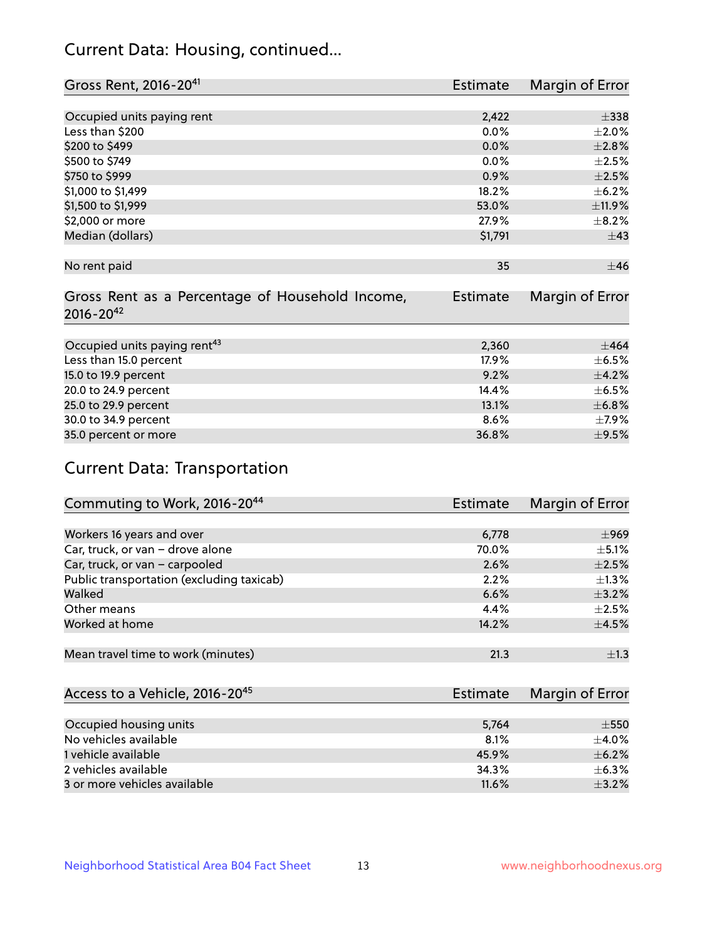# Current Data: Housing, continued...

| Gross Rent, 2016-20 <sup>41</sup>               | <b>Estimate</b> | Margin of Error |
|-------------------------------------------------|-----------------|-----------------|
|                                                 |                 |                 |
| Occupied units paying rent                      | 2,422           | $\pm$ 338       |
| Less than \$200                                 | 0.0%            | $\pm 2.0\%$     |
| \$200 to \$499                                  | 0.0%            | ±2.8%           |
| \$500 to \$749                                  | $0.0\%$         | $\pm 2.5\%$     |
| \$750 to \$999                                  | 0.9%            | $\pm 2.5\%$     |
| \$1,000 to \$1,499                              | 18.2%           | $\pm$ 6.2%      |
| \$1,500 to \$1,999                              | 53.0%           | ±11.9%          |
| \$2,000 or more                                 | 27.9%           | $\pm$ 8.2%      |
| Median (dollars)                                | \$1,791         | $\pm$ 43        |
|                                                 |                 |                 |
| No rent paid                                    | 35              | ±46             |
|                                                 |                 |                 |
| Gross Rent as a Percentage of Household Income, | <b>Estimate</b> | Margin of Error |
| $2016 - 20^{42}$                                |                 |                 |
|                                                 |                 |                 |
| Occupied units paying rent <sup>43</sup>        | 2,360           | $\pm 464$       |
| Less than 15.0 percent                          | 17.9%           | $\pm$ 6.5%      |
| 15.0 to 19.9 percent                            | 9.2%            | ±4.2%           |
| 20.0 to 24.9 percent                            | 14.4%           | $\pm$ 6.5%      |
| 25.0 to 29.9 percent                            | 13.1%           | ±6.8%           |
| 30.0 to 34.9 percent                            | 8.6%            | $\pm$ 7.9%      |
| 35.0 percent or more                            | 36.8%           | $\pm$ 9.5%      |

# Current Data: Transportation

| Commuting to Work, 2016-20 <sup>44</sup>  | Estimate | Margin of Error |
|-------------------------------------------|----------|-----------------|
|                                           |          |                 |
| Workers 16 years and over                 | 6,778    | $\pm$ 969       |
| Car, truck, or van - drove alone          | 70.0%    | $\pm$ 5.1%      |
| Car, truck, or van - carpooled            | 2.6%     | $\pm 2.5\%$     |
| Public transportation (excluding taxicab) | 2.2%     | $+1.3%$         |
| Walked                                    | 6.6%     | $\pm$ 3.2%      |
| Other means                               | 4.4%     | $\pm 2.5\%$     |
| Worked at home                            | 14.2%    | $\pm$ 4.5%      |
|                                           |          |                 |
| Mean travel time to work (minutes)        | 21.3     | $\pm 1.3$       |

| Access to a Vehicle, 2016-20 <sup>45</sup> | Estimate | <b>Margin of Error</b> |
|--------------------------------------------|----------|------------------------|
|                                            |          |                        |
| Occupied housing units                     | 5,764    | $\pm$ 550              |
| No vehicles available                      | 8.1%     | $+4.0\%$               |
| 1 vehicle available                        | 45.9%    | $\pm$ 6.2%             |
| 2 vehicles available                       | 34.3%    | $+6.3%$                |
| 3 or more vehicles available               | 11.6%    | $+3.2%$                |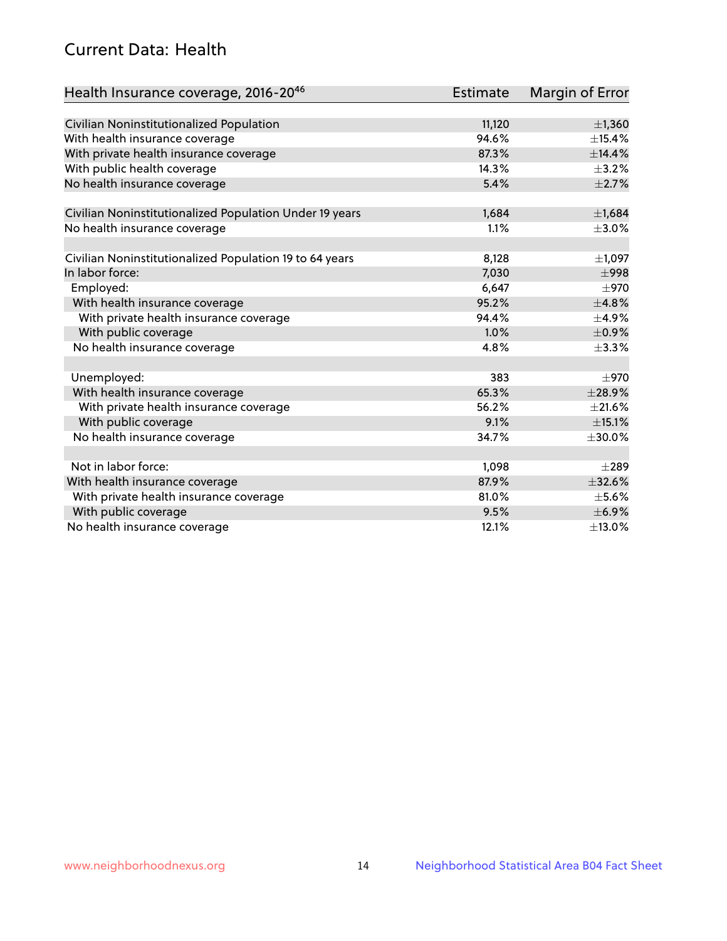# Current Data: Health

| Health Insurance coverage, 2016-2046                    | <b>Estimate</b> | <b>Margin of Error</b> |
|---------------------------------------------------------|-----------------|------------------------|
|                                                         |                 |                        |
| Civilian Noninstitutionalized Population                | 11,120          | $\pm$ 1,360            |
| With health insurance coverage                          | 94.6%           | ±15.4%                 |
| With private health insurance coverage                  | 87.3%           | ±14.4%                 |
| With public health coverage                             | 14.3%           | $\pm$ 3.2%             |
| No health insurance coverage                            | 5.4%            | $\pm 2.7\%$            |
| Civilian Noninstitutionalized Population Under 19 years | 1,684           | ±1,684                 |
| No health insurance coverage                            | 1.1%            | $\pm 3.0\%$            |
|                                                         |                 |                        |
| Civilian Noninstitutionalized Population 19 to 64 years | 8,128           | $\pm$ 1,097            |
| In labor force:                                         | 7,030           | $\pm$ 998              |
| Employed:                                               | 6,647           | $\pm$ 970              |
| With health insurance coverage                          | 95.2%           | ±4.8%                  |
| With private health insurance coverage                  | 94.4%           | $\pm$ 4.9%             |
| With public coverage                                    | 1.0%            | $\pm$ 0.9%             |
| No health insurance coverage                            | 4.8%            | ±3.3%                  |
| Unemployed:                                             | 383             | $\pm$ 970              |
| With health insurance coverage                          | 65.3%           | ±28.9%                 |
| With private health insurance coverage                  | 56.2%           | $\pm 21.6\%$           |
| With public coverage                                    | 9.1%            | $\pm$ 15.1%            |
| No health insurance coverage                            | 34.7%           | $\pm 30.0\%$           |
|                                                         |                 |                        |
| Not in labor force:                                     | 1,098           | $\pm 289$              |
| With health insurance coverage                          | 87.9%           | ±32.6%                 |
| With private health insurance coverage                  | 81.0%           | $\pm$ 5.6%             |
| With public coverage                                    | 9.5%            | $\pm$ 6.9%             |
| No health insurance coverage                            | 12.1%           | $\pm$ 13.0%            |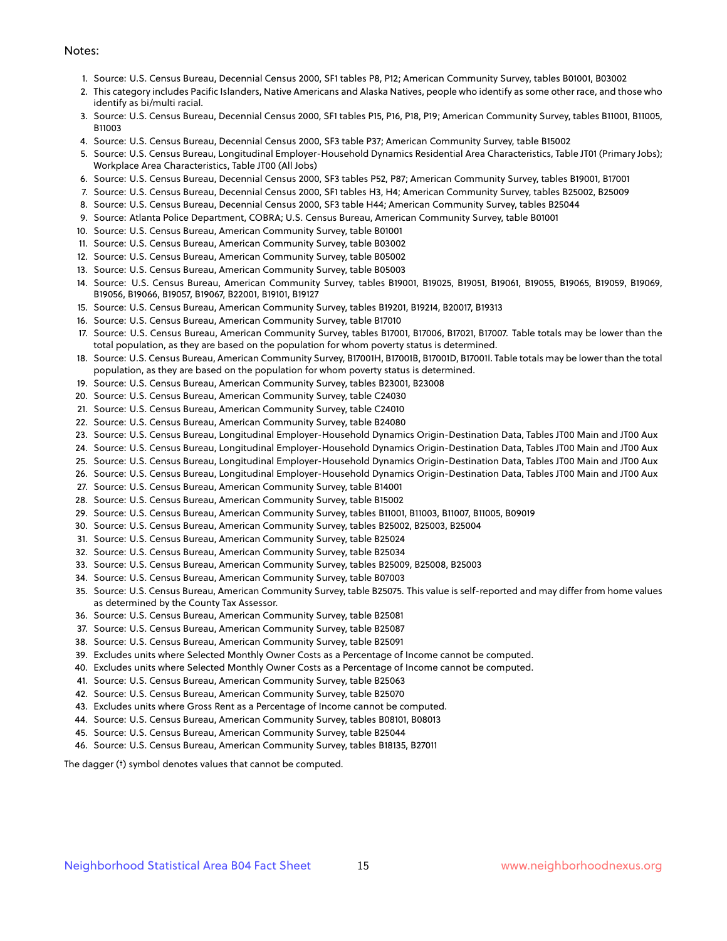#### Notes:

- 1. Source: U.S. Census Bureau, Decennial Census 2000, SF1 tables P8, P12; American Community Survey, tables B01001, B03002
- 2. This category includes Pacific Islanders, Native Americans and Alaska Natives, people who identify as some other race, and those who identify as bi/multi racial.
- 3. Source: U.S. Census Bureau, Decennial Census 2000, SF1 tables P15, P16, P18, P19; American Community Survey, tables B11001, B11005, B11003
- 4. Source: U.S. Census Bureau, Decennial Census 2000, SF3 table P37; American Community Survey, table B15002
- 5. Source: U.S. Census Bureau, Longitudinal Employer-Household Dynamics Residential Area Characteristics, Table JT01 (Primary Jobs); Workplace Area Characteristics, Table JT00 (All Jobs)
- 6. Source: U.S. Census Bureau, Decennial Census 2000, SF3 tables P52, P87; American Community Survey, tables B19001, B17001
- 7. Source: U.S. Census Bureau, Decennial Census 2000, SF1 tables H3, H4; American Community Survey, tables B25002, B25009
- 8. Source: U.S. Census Bureau, Decennial Census 2000, SF3 table H44; American Community Survey, tables B25044
- 9. Source: Atlanta Police Department, COBRA; U.S. Census Bureau, American Community Survey, table B01001
- 10. Source: U.S. Census Bureau, American Community Survey, table B01001
- 11. Source: U.S. Census Bureau, American Community Survey, table B03002
- 12. Source: U.S. Census Bureau, American Community Survey, table B05002
- 13. Source: U.S. Census Bureau, American Community Survey, table B05003
- 14. Source: U.S. Census Bureau, American Community Survey, tables B19001, B19025, B19051, B19061, B19055, B19065, B19059, B19069, B19056, B19066, B19057, B19067, B22001, B19101, B19127
- 15. Source: U.S. Census Bureau, American Community Survey, tables B19201, B19214, B20017, B19313
- 16. Source: U.S. Census Bureau, American Community Survey, table B17010
- 17. Source: U.S. Census Bureau, American Community Survey, tables B17001, B17006, B17021, B17007. Table totals may be lower than the total population, as they are based on the population for whom poverty status is determined.
- 18. Source: U.S. Census Bureau, American Community Survey, B17001H, B17001B, B17001D, B17001I. Table totals may be lower than the total population, as they are based on the population for whom poverty status is determined.
- 19. Source: U.S. Census Bureau, American Community Survey, tables B23001, B23008
- 20. Source: U.S. Census Bureau, American Community Survey, table C24030
- 21. Source: U.S. Census Bureau, American Community Survey, table C24010
- 22. Source: U.S. Census Bureau, American Community Survey, table B24080
- 23. Source: U.S. Census Bureau, Longitudinal Employer-Household Dynamics Origin-Destination Data, Tables JT00 Main and JT00 Aux
- 24. Source: U.S. Census Bureau, Longitudinal Employer-Household Dynamics Origin-Destination Data, Tables JT00 Main and JT00 Aux
- 25. Source: U.S. Census Bureau, Longitudinal Employer-Household Dynamics Origin-Destination Data, Tables JT00 Main and JT00 Aux
- 26. Source: U.S. Census Bureau, Longitudinal Employer-Household Dynamics Origin-Destination Data, Tables JT00 Main and JT00 Aux
- 27. Source: U.S. Census Bureau, American Community Survey, table B14001
- 28. Source: U.S. Census Bureau, American Community Survey, table B15002
- 29. Source: U.S. Census Bureau, American Community Survey, tables B11001, B11003, B11007, B11005, B09019
- 30. Source: U.S. Census Bureau, American Community Survey, tables B25002, B25003, B25004
- 31. Source: U.S. Census Bureau, American Community Survey, table B25024
- 32. Source: U.S. Census Bureau, American Community Survey, table B25034
- 33. Source: U.S. Census Bureau, American Community Survey, tables B25009, B25008, B25003
- 34. Source: U.S. Census Bureau, American Community Survey, table B07003
- 35. Source: U.S. Census Bureau, American Community Survey, table B25075. This value is self-reported and may differ from home values as determined by the County Tax Assessor.
- 36. Source: U.S. Census Bureau, American Community Survey, table B25081
- 37. Source: U.S. Census Bureau, American Community Survey, table B25087
- 38. Source: U.S. Census Bureau, American Community Survey, table B25091
- 39. Excludes units where Selected Monthly Owner Costs as a Percentage of Income cannot be computed.
- 40. Excludes units where Selected Monthly Owner Costs as a Percentage of Income cannot be computed.
- 41. Source: U.S. Census Bureau, American Community Survey, table B25063
- 42. Source: U.S. Census Bureau, American Community Survey, table B25070
- 43. Excludes units where Gross Rent as a Percentage of Income cannot be computed.
- 44. Source: U.S. Census Bureau, American Community Survey, tables B08101, B08013
- 45. Source: U.S. Census Bureau, American Community Survey, table B25044
- 46. Source: U.S. Census Bureau, American Community Survey, tables B18135, B27011

The dagger (†) symbol denotes values that cannot be computed.